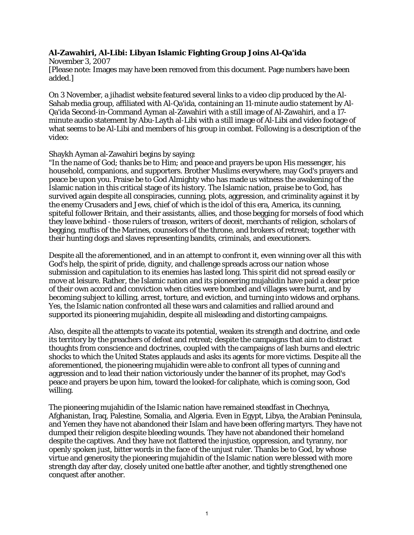## **Al-Zawahiri, Al-Libi: Libyan Islamic Fighting Group Joins Al-Qa'ida**

November 3, 2007 [Please note: Images may have been removed from this document. Page numbers have been added.]

On 3 November, a jihadist website featured several links to a video clip produced by the Al-Sahab media group, affiliated with Al-Qa'ida, containing an 11-minute audio statement by Al-Qa'ida Second-in-Command Ayman al-Zawahiri with a still image of Al-Zawahiri, and a 17 minute audio statement by Abu-Layth al-Libi with a still image of Al-Libi and video footage of what seems to be Al-Libi and members of his group in combat. Following is a description of the video:

## Shaykh Ayman al-Zawahiri begins by saying:

"In the name of God; thanks be to Him; and peace and prayers be upon His messenger, his household, companions, and supporters. Brother Muslims everywhere, may God's prayers and peace be upon you. Praise be to God Almighty who has made us witness the awakening of the Islamic nation in this critical stage of its history. The Islamic nation, praise be to God, has survived again despite all conspiracies, cunning, plots, aggression, and criminality against it by the enemy Crusaders and Jews, chief of which is the idol of this era, America, its cunning, spiteful follower Britain, and their assistants, allies, and those begging for morsels of food which they leave behind - those rulers of treason, writers of deceit, merchants of religion, scholars of begging, muftis of the Marines, counselors of the throne, and brokers of retreat; together with their hunting dogs and slaves representing bandits, criminals, and executioners.

Despite all the aforementioned, and in an attempt to confront it, even winning over all this with God's help, the spirit of pride, dignity, and challenge spreads across our nation whose submission and capitulation to its enemies has lasted long. This spirit did not spread easily or move at leisure. Rather, the Islamic nation and its pioneering mujahidin have paid a dear price of their own accord and conviction when cities were bombed and villages were burnt, and by becoming subject to killing, arrest, torture, and eviction, and turning into widows and orphans. Yes, the Islamic nation confronted all these wars and calamities and rallied around and supported its pioneering mujahidin, despite all misleading and distorting campaigns.

Also, despite all the attempts to vacate its potential, weaken its strength and doctrine, and cede its territory by the preachers of defeat and retreat; despite the campaigns that aim to distract thoughts from conscience and doctrines, coupled with the campaigns of lash burns and electric shocks to which the United States applauds and asks its agents for more victims. Despite all the aforementioned, the pioneering mujahidin were able to confront all types of cunning and aggression and to lead their nation victoriously under the banner of its prophet, may God's peace and prayers be upon him, toward the looked-for caliphate, which is coming soon, God willing.

The pioneering mujahidin of the Islamic nation have remained steadfast in Chechnya, Afghanistan, Iraq, Palestine, Somalia, and Algeria. Even in Egypt, Libya, the Arabian Peninsula, and Yemen they have not abandoned their Islam and have been offering martyrs. They have not dumped their religion despite bleeding wounds. They have not abandoned their homeland despite the captives. And they have not flattered the injustice, oppression, and tyranny, nor openly spoken just, bitter words in the face of the unjust ruler. Thanks be to God, by whose virtue and generosity the pioneering mujahidin of the Islamic nation were blessed with more strength day after day, closely united one battle after another, and tightly strengthened one conquest after another.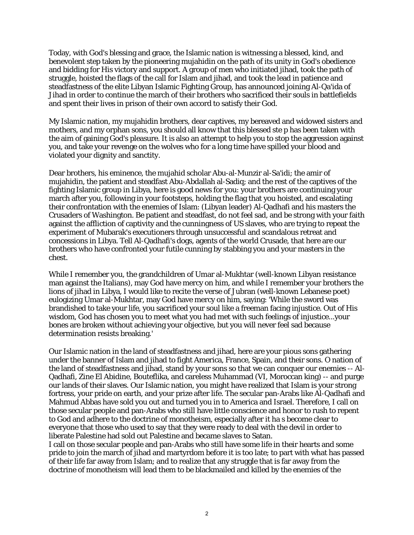Today, with God's blessing and grace, the Islamic nation is witnessing a blessed, kind, and benevolent step taken by the pioneering mujahidin on the path of its unity in God's obedience and bidding for His victory and support. A group of men who initiated jihad, took the path of struggle, hoisted the flags of the call for Islam and jihad, and took the lead in patience and steadfastness of the elite Libyan Islamic Fighting Group, has announced joining Al-Qa'ida of Jihad in order to continue the march of their brothers who sacrificed their souls in battlefields and spent their lives in prison of their own accord to satisfy their God.

My Islamic nation, my mujahidin brothers, dear captives, my bereaved and widowed sisters and mothers, and my orphan sons, you should all know that this blessed ste p has been taken with the aim of gaining God's pleasure. It is also an attempt to help you to stop the aggression against you, and take your revenge on the wolves who for a long time have spilled your blood and violated your dignity and sanctity.

Dear brothers, his eminence, the mujahid scholar Abu-al-Munzir al-Sa'idi; the amir of mujahidin, the patient and steadfast Abu-Abdallah al-Sadiq; and the rest of the captives of the fighting Islamic group in Libya, here is good news for you: your brothers are continuing your march after you, following in your footsteps, holding the flag that you hoisted, and escalating their confrontation with the enemies of Islam: (Libyan leader) Al-Qadhafi and his masters the Crusaders of Washington. Be patient and steadfast, do not feel sad, and be strong with your faith against the affliction of captivity and the cunningness of US slaves, who are trying to repeat the experiment of Mubarak's executioners through unsuccessful and scandalous retreat and concessions in Libya. Tell Al-Qadhafi's dogs, agents of the world Crusade, that here are our brothers who have confronted your futile cunning by stabbing you and your masters in the chest.

While I remember you, the grandchildren of Umar al-Mukhtar (well-known Libyan resistance man against the Italians), may God have mercy on him, and while I remember your brothers the lions of jihad in Libya, I would like to recite the verse of Jubran (well-known Lebanese poet) eulogizing Umar al-Mukhtar, may God have mercy on him, saying: 'While the sword was brandished to take your life, you sacrificed your soul like a freeman facing injustice. Out of His wisdom, God has chosen you to meet what you had met with such feelings of injustice...your bones are broken without achieving your objective, but you will never feel sad because determination resists breaking.'

Our Islamic nation in the land of steadfastness and jihad, here are your pious sons gathering under the banner of Islam and jihad to fight America, France, Spain, and their sons. O nation of the land of steadfastness and jihad, stand by your sons so that we can conquer our enemies -- Al-Qadhafi, Zine El Abidine, Bouteflika, and careless Muhammad (VI, Moroccan king) -- and purge our lands of their slaves. Our Islamic nation, you might have realized that Islam is your strong fortress, your pride on earth, and your prize after life. The secular pan-Arabs like Al-Qadhafi and Mahmud Abbas have sold you out and turned you in to America and Israel. Therefore, I call on those secular people and pan-Arabs who still have little conscience and honor to rush to repent to God and adhere to the doctrine of monotheism, especially after it ha s become clear to everyone that those who used to say that they were ready to deal with the devil in order to liberate Palestine had sold out Palestine and became slaves to Satan.

I call on those secular people and pan-Arabs who still have some life in their hearts and some pride to join the march of jihad and martyrdom before it is too late; to part with what has passed of their life far away from Islam; and to realize that any struggle that is far away from the doctrine of monotheism will lead them to be blackmailed and killed by the enemies of the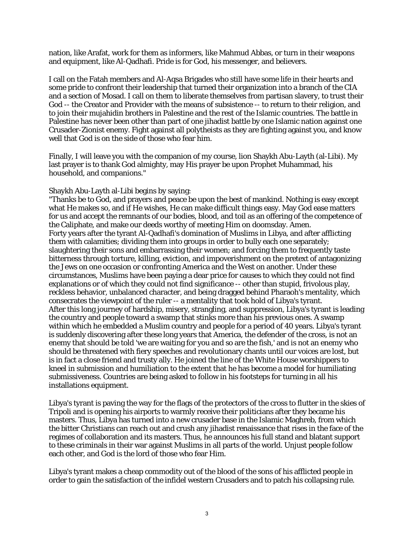nation, like Arafat, work for them as informers, like Mahmud Abbas, or turn in their weapons and equipment, like Al-Qadhafi. Pride is for God, his messenger, and believers.

I call on the Fatah members and Al-Aqsa Brigades who still have some life in their hearts and some pride to confront their leadership that turned their organization into a branch of the CIA and a section of Mosad. I call on them to liberate themselves from partisan slavery, to trust their God -- the Creator and Provider with the means of subsistence -- to return to their religion, and to join their mujahidin brothers in Palestine and the rest of the Islamic countries. The battle in Palestine has never been other than part of one jihadist battle by one Islamic nation against one Crusader-Zionist enemy. Fight against all polytheists as they are fighting against you, and know well that God is on the side of those who fear him.

Finally, I will leave you with the companion of my course, lion Shaykh Abu-Layth (al-Libi). My last prayer is to thank God almighty, may His prayer be upon Prophet Muhammad, his household, and companions."

## Shaykh Abu-Layth al-Libi begins by saying:

"Thanks be to God, and prayers and peace be upon the best of mankind. Nothing is easy except what He makes so, and if He wishes, He can make difficult things easy. May God ease matters for us and accept the remnants of our bodies, blood, and toil as an offering of the competence of the Caliphate, and make our deeds worthy of meeting Him on doomsday. Amen. Forty years after the tyrant Al-Qadhafi's domination of Muslims in Libya, and after afflicting them with calamities; dividing them into groups in order to bully each one separately; slaughtering their sons and embarrassing their women; and forcing them to frequently taste bitterness through torture, killing, eviction, and impoverishment on the pretext of antagonizing the Jews on one occasion or confronting America and the West on another. Under these circumstances, Muslims have been paying a dear price for causes to which they could not find explanations or of which they could not find significance -- other than stupid, frivolous play, reckless behavior, unbalanced character, and being dragged behind Pharaoh's mentality, which consecrates the viewpoint of the ruler -- a mentality that took hold of Libya's tyrant. After this long journey of hardship, misery, strangling, and suppression, Libya's tyrant is leading the country and people toward a swamp that stinks more than his previous ones. A swamp within which he embedded a Muslim country and people for a period of 40 years. Libya's tyrant is suddenly discovering after these long years that America, the defender of the cross, is not an enemy that should be told 'we are waiting for you and so are the fish,' and is not an enemy who should be threatened with fiery speeches and revolutionary chants until our voices are lost, but is in fact a close friend and trusty ally. He joined the line of the White House worshippers to kneel in submission and humiliation to the extent that he has become a model for humiliating submissiveness. Countries are being asked to follow in his footsteps for turning in all his installations equipment.

Libya's tyrant is paving the way for the flags of the protectors of the cross to flutter in the skies of Tripoli and is opening his airports to warmly receive their politicians after they became his masters. Thus, Libya has turned into a new crusader base in the Islamic Maghreb, from which the bitter Christians can reach out and crush any jihadist renaissance that rises in the face of the regimes of collaboration and its masters. Thus, he announces his full stand and blatant support to these criminals in their war against Muslims in all parts of the world. Unjust people follow each other, and God is the lord of those who fear Him.

Libya's tyrant makes a cheap commodity out of the blood of the sons of his afflicted people in order to gain the satisfaction of the infidel western Crusaders and to patch his collapsing rule.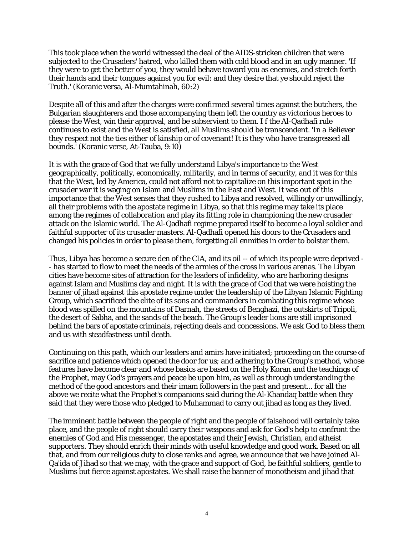This took place when the world witnessed the deal of the AIDS-stricken children that were subjected to the Crusaders' hatred, who killed them with cold blood and in an ugly manner. 'If they were to get the better of you, they would behave toward you as enemies, and stretch forth their hands and their tongues against you for evil: and they desire that ye should reject the Truth.' (Koranic versa, Al-Mumtahinah, 60:2)

Despite all of this and after the charges were confirmed several times against the butchers, the Bulgarian slaughterers and those accompanying them left the country as victorious heroes to please the West, win their approval, and be subservient to them. I f the Al-Qadhafi rule continues to exist and the West is satisfied, all Muslims should be transcendent. 'In a Believer they respect not the ties either of kinship or of covenant! It is they who have transgressed all bounds.' (Koranic verse, At-Tauba, 9:10)

It is with the grace of God that we fully understand Libya's importance to the West geographically, politically, economically, militarily, and in terms of security, and it was for this that the West, led by America, could not afford not to capitalize on this important spot in the crusader war it is waging on Islam and Muslims in the East and West. It was out of this importance that the West senses that they rushed to Libya and resolved, willingly or unwillingly, all their problems with the apostate regime in Libya, so that this regime may take its place among the regimes of collaboration and play its fitting role in championing the new crusader attack on the Islamic world. The Al-Qadhafi regime prepared itself to become a loyal soldier and faithful supporter of its crusader masters. Al-Qadhafi opened his doors to the Crusaders and changed his policies in order to please them, forgetting all enmities in order to bolster them.

Thus, Libya has become a secure den of the CIA, and its oil -- of which its people were deprived - - has started to flow to meet the needs of the armies of the cross in various arenas. The Libyan cities have become sites of attraction for the leaders of infidelity, who are harboring designs against Islam and Muslims day and night. It is with the grace of God that we were hoisting the banner of jihad against this apostate regime under the leadership of the Libyan Islamic Fighting Group, which sacrificed the elite of its sons and commanders in combating this regime whose blood was spilled on the mountains of Darnah, the streets of Benghazi, the outskirts of Tripoli, the desert of Sabha, and the sands of the beach. The Group's leader lions are still imprisoned behind the bars of apostate criminals, rejecting deals and concessions. We ask God to bless them and us with steadfastness until death.

Continuing on this path, which our leaders and amirs have initiated; proceeding on the course of sacrifice and patience which opened the door for us; and adhering to the Group's method, whose features have become clear and whose basics are based on the Holy Koran and the teachings of the Prophet, may God's prayers and peace be upon him, as well as through understanding the method of the good ancestors and their imam followers in the past and present... for all the above we recite what the Prophet's companions said during the Al-Khandaq battle when they said that they were those who pledged to Muhammad to carry out jihad as long as they lived.

The imminent battle between the people of right and the people of falsehood will certainly take place, and the people of right should carry their weapons and ask for God's help to confront the enemies of God and His messenger, the apostates and their Jewish, Christian, and atheist supporters. They should enrich their minds with useful knowledge and good work. Based on all that, and from our religious duty to close ranks and agree, we announce that we have joined Al-Qa'ida of Jihad so that we may, with the grace and support of God, be faithful soldiers, gentle to Muslims but fierce against apostates. We shall raise the banner of monotheism and jihad that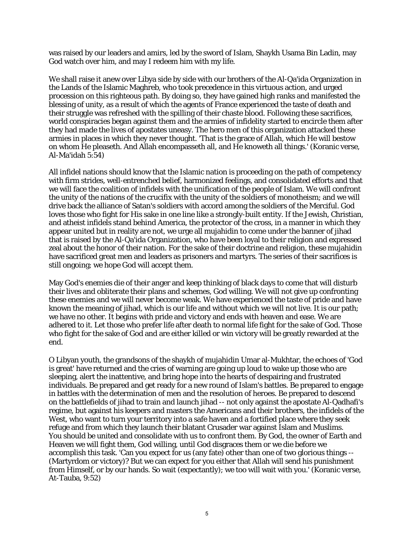was raised by our leaders and amirs, led by the sword of Islam, Shaykh Usama Bin Ladin, may God watch over him, and may I redeem him with my life.

We shall raise it anew over Libya side by side with our brothers of the Al-Qa'ida Organization in the Lands of the Islamic Maghreb, who took precedence in this virtuous action, and urged procession on this righteous path. By doing so, they have gained high ranks and manifested the blessing of unity, as a result of which the agents of France experienced the taste of death and their struggle was refreshed with the spilling of their chaste blood. Following these sacrifices, world conspiracies began against them and the armies of infidelity started to encircle them after they had made the lives of apostates uneasy. The hero men of this organization attacked these armies in places in which they never thought. 'That is the grace of Allah, which He will bestow on whom He pleaseth. And Allah encompasseth all, and He knoweth all things.' (Koranic verse, Al-Ma'idah 5:54)

All infidel nations should know that the Islamic nation is proceeding on the path of competency with firm strides, well-entrenched belief, harmonized feelings, and consolidated efforts and that we will face the coalition of infidels with the unification of the people of Islam. We will confront the unity of the nations of the crucifix with the unity of the soldiers of monotheism; and we will drive back the alliance of Satan's soldiers with accord among the soldiers of the Merciful. God loves those who fight for His sake in one line like a strongly-built entity. If the Jewish, Christian, and atheist infidels stand behind America, the protector of the cross, in a manner in which they appear united but in reality are not, we urge all mujahidin to come under the banner of jihad that is raised by the Al-Qa'ida Organization, who have been loyal to their religion and expressed zeal about the honor of their nation. For the sake of their doctrine and religion, these mujahidin have sacrificed great men and leaders as prisoners and martyrs. The series of their sacrifices is still ongoing; we hope God will accept them.

May God's enemies die of their anger and keep thinking of black days to come that will disturb their lives and obliterate their plans and schemes, God willing. We will not give up confronting these enemies and we will never become weak. We have experienced the taste of pride and have known the meaning of jihad, which is our life and without which we will not live. It is our path; we have no other. It begins with pride and victory and ends with heaven and ease. We are adhered to it. Let those who prefer life after death to normal life fight for the sake of God. Those who fight for the sake of God and are either killed or win victory will be greatly rewarded at the end.

O Libyan youth, the grandsons of the shaykh of mujahidin Umar al-Mukhtar, the echoes of 'God is great' have returned and the cries of warning are going up loud to wake up those who are sleeping, alert the inattentive, and bring hope into the hearts of despairing and frustrated individuals. Be prepared and get ready for a new round of Islam's battles. Be prepared to engage in battles with the determination of men and the resolution of heroes. Be prepared to descend on the battlefields of jihad to train and launch jihad -- not only against the apostate Al-Qadhafi's regime, but against his keepers and masters the Americans and their brothers, the infidels of the West, who want to turn your territory into a safe haven and a fortified place where they seek refuge and from which they launch their blatant Crusader war against Islam and Muslims. You should be united and consolidate with us to confront them. By God, the owner of Earth and Heaven we will fight them, God willing, until God disgraces them or we die before we accomplish this task. 'Can you expect for us (any fate) other than one of two glorious things -- (Martyrdom or victory)? But we can expect for you either that Allah will send his punishment from Himself, or by our hands. So wait (expectantly); we too will wait with you.' (Koranic verse, At-Tauba, 9:52)